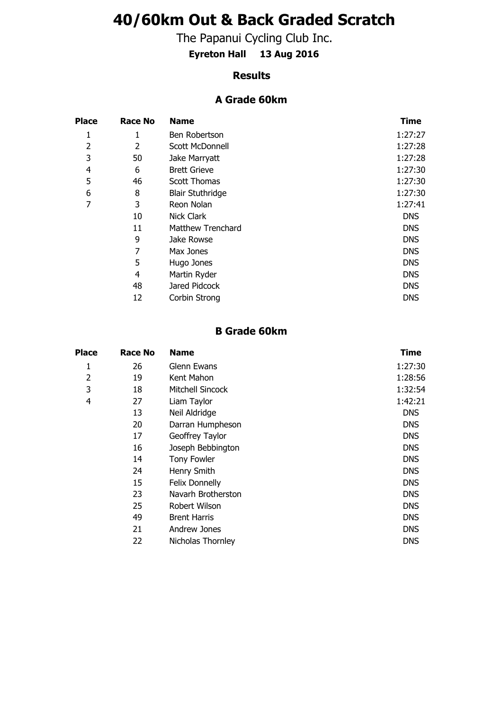# **40/60km Out & Back Graded Scratch**

The Papanui Cycling Club Inc.

**Eyreton Hall 13 Aug 2016**

#### **Results**

#### **A Grade 60km**

| <b>Place</b>   | <b>Race No</b> | <b>Name</b>              | <b>Time</b> |
|----------------|----------------|--------------------------|-------------|
| 1              | 1              | Ben Robertson            | 1:27:27     |
| $\overline{2}$ | 2              | <b>Scott McDonnell</b>   | 1:27:28     |
| 3              | 50             | Jake Marryatt            | 1:27:28     |
| 4              | 6              | <b>Brett Grieve</b>      | 1:27:30     |
| 5              | 46             | <b>Scott Thomas</b>      | 1:27:30     |
| 6              | 8              | <b>Blair Stuthridge</b>  | 1:27:30     |
| 7              | 3              | Reon Nolan               | 1:27:41     |
|                | 10             | <b>Nick Clark</b>        | <b>DNS</b>  |
|                | 11             | <b>Matthew Trenchard</b> | <b>DNS</b>  |
|                | 9              | Jake Rowse               | <b>DNS</b>  |
|                | 7              | Max Jones                | <b>DNS</b>  |
|                | 5              | Hugo Jones               | <b>DNS</b>  |
|                | 4              | Martin Ryder             | <b>DNS</b>  |
|                | 48             | Jared Pidcock            | <b>DNS</b>  |
|                | 12             | Corbin Strong            | <b>DNS</b>  |

### **B Grade 60km**

| <b>Place</b>   | <b>Race No</b> | <b>Name</b>         | Time       |
|----------------|----------------|---------------------|------------|
| 1              | 26             | Glenn Ewans         | 1:27:30    |
| $\overline{2}$ | 19             | Kent Mahon          | 1:28:56    |
| 3              | 18             | Mitchell Sincock    | 1:32:54    |
| 4              | 27             | Liam Taylor         | 1:42:21    |
|                | 13             | Neil Aldridge       | <b>DNS</b> |
|                | 20             | Darran Humpheson    | <b>DNS</b> |
|                | 17             | Geoffrey Taylor     | <b>DNS</b> |
|                | 16             | Joseph Bebbington   | <b>DNS</b> |
|                | 14             | Tony Fowler         | <b>DNS</b> |
|                | 24             | Henry Smith         | <b>DNS</b> |
|                | 15             | Felix Donnelly      | <b>DNS</b> |
|                | 23             | Navarh Brotherston  | <b>DNS</b> |
|                | 25             | Robert Wilson       | <b>DNS</b> |
|                | 49             | <b>Brent Harris</b> | <b>DNS</b> |
|                | 21             | Andrew Jones        | <b>DNS</b> |
|                | 22             | Nicholas Thornley   | <b>DNS</b> |